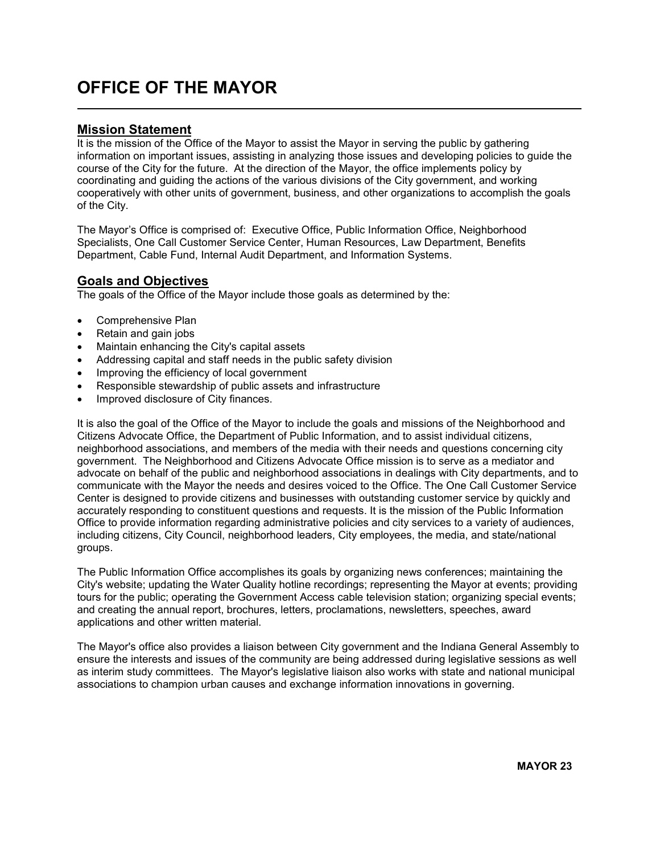# OFFICE OF THE MAYOR

### Mission Statement

L

It is the mission of the Office of the Mayor to assist the Mayor in serving the public by gathering information on important issues, assisting in analyzing those issues and developing policies to guide the course of the City for the future. At the direction of the Mayor, the office implements policy by coordinating and guiding the actions of the various divisions of the City government, and working cooperatively with other units of government, business, and other organizations to accomplish the goals of the City.

The Mayor's Office is comprised of: Executive Office, Public Information Office, Neighborhood Specialists, One Call Customer Service Center, Human Resources, Law Department, Benefits Department, Cable Fund, Internal Audit Department, and Information Systems.

## Goals and Objectives

The goals of the Office of the Mayor include those goals as determined by the:

- Comprehensive Plan
- Retain and gain jobs
- Maintain enhancing the City's capital assets
- Addressing capital and staff needs in the public safety division
- Improving the efficiency of local government
- Responsible stewardship of public assets and infrastructure
- Improved disclosure of City finances.

It is also the goal of the Office of the Mayor to include the goals and missions of the Neighborhood and Citizens Advocate Office, the Department of Public Information, and to assist individual citizens, neighborhood associations, and members of the media with their needs and questions concerning city government. The Neighborhood and Citizens Advocate Office mission is to serve as a mediator and advocate on behalf of the public and neighborhood associations in dealings with City departments, and to communicate with the Mayor the needs and desires voiced to the Office. The One Call Customer Service Center is designed to provide citizens and businesses with outstanding customer service by quickly and accurately responding to constituent questions and requests. It is the mission of the Public Information Office to provide information regarding administrative policies and city services to a variety of audiences, including citizens, City Council, neighborhood leaders, City employees, the media, and state/national groups.

The Public Information Office accomplishes its goals by organizing news conferences; maintaining the City's website; updating the Water Quality hotline recordings; representing the Mayor at events; providing tours for the public; operating the Government Access cable television station; organizing special events; and creating the annual report, brochures, letters, proclamations, newsletters, speeches, award applications and other written material.

The Mayor's office also provides a liaison between City government and the Indiana General Assembly to ensure the interests and issues of the community are being addressed during legislative sessions as well as interim study committees. The Mayor's legislative liaison also works with state and national municipal associations to champion urban causes and exchange information innovations in governing.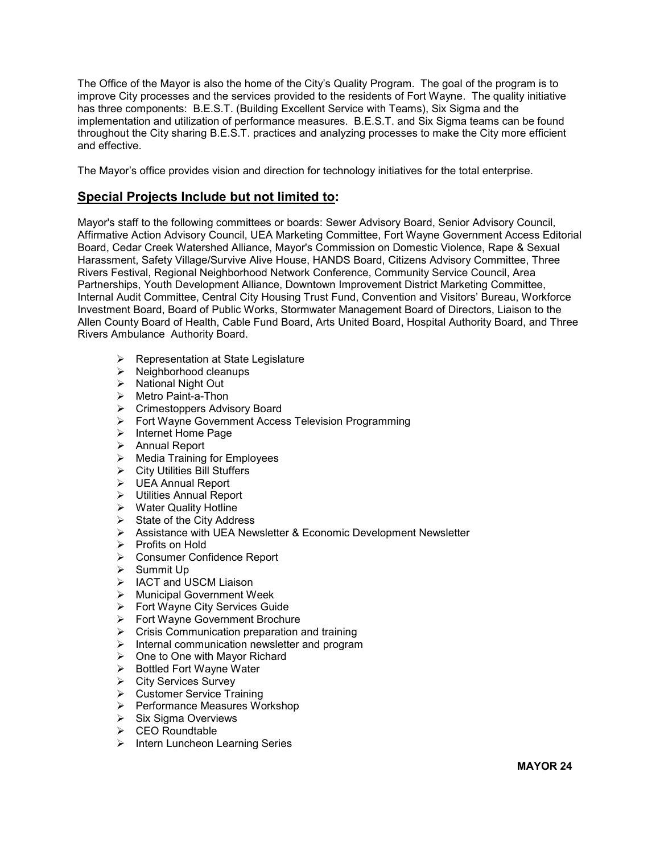The Office of the Mayor is also the home of the City's Quality Program. The goal of the program is to improve City processes and the services provided to the residents of Fort Wayne. The quality initiative has three components: B.E.S.T. (Building Excellent Service with Teams), Six Sigma and the implementation and utilization of performance measures. B.E.S.T. and Six Sigma teams can be found throughout the City sharing B.E.S.T. practices and analyzing processes to make the City more efficient and effective.

The Mayor's office provides vision and direction for technology initiatives for the total enterprise.

### Special Projects Include but not limited to:

Mayor's staff to the following committees or boards: Sewer Advisory Board, Senior Advisory Council, Affirmative Action Advisory Council, UEA Marketing Committee, Fort Wayne Government Access Editorial Board, Cedar Creek Watershed Alliance, Mayor's Commission on Domestic Violence, Rape & Sexual Harassment, Safety Village/Survive Alive House, HANDS Board, Citizens Advisory Committee, Three Rivers Festival, Regional Neighborhood Network Conference, Community Service Council, Area Partnerships, Youth Development Alliance, Downtown Improvement District Marketing Committee, Internal Audit Committee, Central City Housing Trust Fund, Convention and Visitors' Bureau, Workforce Investment Board, Board of Public Works, Stormwater Management Board of Directors, Liaison to the Allen County Board of Health, Cable Fund Board, Arts United Board, Hospital Authority Board, and Three Rivers Ambulance Authority Board.

- $\triangleright$  Representation at State Legislature
- $\triangleright$  Neighborhood cleanups
- $\triangleright$  National Night Out
- ▶ Metro Paint-a-Thon
- **►** Crimestoppers Advisory Board
- Fort Wayne Government Access Television Programming
- $\triangleright$  Internet Home Page
- > Annual Report
- $\triangleright$  Media Training for Employees
- City Utilities Bill Stuffers
- $\triangleright$  UEA Annual Report
- Utilities Annual Report
- $\triangleright$  Water Quality Hotline
- $\triangleright$  State of the City Address
- Assistance with UEA Newsletter & Economic Development Newsletter
- $\triangleright$  Profits on Hold
- Consumer Confidence Report
- $\triangleright$  Summit Up
- > IACT and USCM Liaison
- $\triangleright$  Municipal Government Week
- Fort Wayne City Services Guide
- Fort Wayne Government Brochure
- $\triangleright$  Crisis Communication preparation and training
- $\triangleright$  Internal communication newsletter and program
- $\triangleright$  One to One with Mayor Richard
- $\triangleright$  Bottled Fort Wayne Water
- **▶ City Services Survey**
- Customer Service Training
- **▶ Performance Measures Workshop**
- $\triangleright$  Six Sigma Overviews
- $\triangleright$  CEO Roundtable
- $\triangleright$  Intern Luncheon Learning Series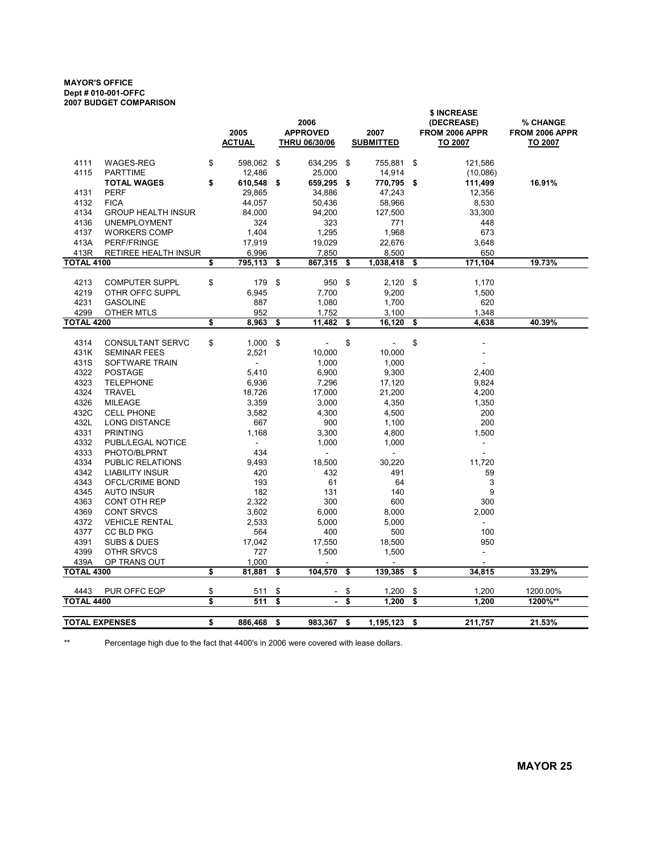#### MAYOR'S OFFICE Dept # 010-001-OFFC 2007 BUDGET COMPARISON

|                       | ZUUI DUUUEI VUINFANIJUI                 |    |                          |                 |                          |                  |                | \$ INCREASE    |                |  |  |  |
|-----------------------|-----------------------------------------|----|--------------------------|-----------------|--------------------------|------------------|----------------|----------------|----------------|--|--|--|
|                       |                                         |    |                          | 2006            |                          |                  |                | (DECREASE)     | % CHANGE       |  |  |  |
|                       |                                         |    | 2005                     | <b>APPROVED</b> |                          | 2007             |                | FROM 2006 APPR | FROM 2006 APPR |  |  |  |
|                       |                                         |    | <b>ACTUAL</b>            | THRU 06/30/06   |                          | <b>SUBMITTED</b> |                | TO 2007        | TO 2007        |  |  |  |
| 4111                  | <b>WAGES-REG</b>                        | \$ | 598,062                  | \$              | 634,295                  | \$               | 755,881        | \$<br>121,586  |                |  |  |  |
| 4115                  | <b>PARTTIME</b>                         |    | 12,486                   |                 | 25,000                   |                  | 14,914         | (10,086)       |                |  |  |  |
|                       | <b>TOTAL WAGES</b>                      | \$ | 610,548                  | - \$            | 659,295 \$               |                  | 770,795 \$     | 111,499        | 16.91%         |  |  |  |
| 4131                  | <b>PERF</b>                             |    | 29,865                   |                 | 34,886                   |                  | 47,243         | 12,356         |                |  |  |  |
| 4132                  | <b>FICA</b>                             |    | 44,057                   |                 | 50,436                   |                  | 58,966         | 8,530          |                |  |  |  |
| 4134                  | <b>GROUP HEALTH INSUR</b>               |    | 84,000                   |                 | 94,200                   |                  | 127,500        | 33,300         |                |  |  |  |
| 4136                  | <b>UNEMPLOYMENT</b>                     |    | 324                      |                 | 323                      |                  | 771            | 448            |                |  |  |  |
| 4137                  | <b>WORKERS COMP</b>                     |    | 1,404                    |                 | 1,295                    |                  | 1,968          | 673            |                |  |  |  |
| 413A                  | PERF/FRINGE                             |    | 17,919                   |                 | 19,029                   |                  | 22,676         | 3,648          |                |  |  |  |
| 413R                  | RETIREE HEALTH INSUR                    |    | 6,996                    |                 | 7,850                    |                  | 8,500          | 650            |                |  |  |  |
| <b>TOTAL 4100</b>     |                                         | \$ | 795,113                  | \$              | 867,315                  | \$               | 1,038,418      | \$<br>171,104  | 19.73%         |  |  |  |
| 4213                  | <b>COMPUTER SUPPL</b>                   | \$ | 179                      | \$              | 950                      | \$               | $2,120$ \$     | 1,170          |                |  |  |  |
| 4219                  | OTHR OFFC SUPPL                         |    | 6,945                    |                 | 7,700                    |                  | 9,200          | 1,500          |                |  |  |  |
| 4231                  | <b>GASOLINE</b>                         |    | 887                      |                 | 1,080                    |                  | 1,700          | 620            |                |  |  |  |
| 4299                  | <b>OTHER MTLS</b>                       |    | 952                      |                 | 1,752                    |                  | 3,100          | 1,348          |                |  |  |  |
| <b>TOTAL 4200</b>     |                                         | \$ | 8.963                    | \$              | 11,482                   | \$               | 16,120         | \$<br>4.638    | 40.39%         |  |  |  |
|                       |                                         |    |                          |                 |                          |                  |                |                |                |  |  |  |
| 4314                  | <b>CONSULTANT SERVC</b>                 | \$ | 1,000                    | \$              |                          | \$               | $\overline{a}$ | \$             |                |  |  |  |
| 431K                  | <b>SEMINAR FEES</b>                     |    | 2,521                    |                 | 10,000                   |                  | 10,000         |                |                |  |  |  |
| 431S                  | SOFTWARE TRAIN                          |    | $\overline{\phantom{a}}$ |                 | 1,000                    |                  | 1,000          |                |                |  |  |  |
| 4322                  | <b>POSTAGE</b>                          |    | 5,410                    |                 | 6,900                    |                  | 9,300          | 2,400          |                |  |  |  |
| 4323                  | <b>TELEPHONE</b>                        |    | 6,936                    |                 | 7,296                    |                  | 17,120         | 9,824          |                |  |  |  |
| 4324                  | <b>TRAVEL</b>                           |    | 18,726                   |                 | 17,000                   |                  | 21,200         | 4,200          |                |  |  |  |
| 4326                  | <b>MILEAGE</b>                          |    | 3,359                    |                 | 3,000                    |                  | 4,350          | 1,350          |                |  |  |  |
| 432C                  | <b>CELL PHONE</b>                       |    | 3,582                    |                 | 4,300                    |                  | 4,500          | 200            |                |  |  |  |
| 432L<br>4331          | <b>LONG DISTANCE</b><br><b>PRINTING</b> |    | 667<br>1,168             |                 | 900                      |                  | 1,100          | 200<br>1,500   |                |  |  |  |
| 4332                  | PUBL/LEGAL NOTICE                       |    | ä,                       |                 | 3,300<br>1,000           |                  | 4,800<br>1,000 | ÷.             |                |  |  |  |
| 4333                  | PHOTO/BLPRNT                            |    | 434                      |                 | $\overline{\phantom{a}}$ |                  | $\blacksquare$ |                |                |  |  |  |
| 4334                  | <b>PUBLIC RELATIONS</b>                 |    | 9,493                    |                 | 18,500                   |                  | 30,220         | 11,720         |                |  |  |  |
| 4342                  | <b>LIABILITY INSUR</b>                  |    | 420                      |                 | 432                      |                  | 491            | 59             |                |  |  |  |
| 4343                  | OFCL/CRIME BOND                         |    | 193                      |                 | 61                       |                  | 64             | 3              |                |  |  |  |
| 4345                  | <b>AUTO INSUR</b>                       |    | 182                      |                 | 131                      |                  | 140            | 9              |                |  |  |  |
| 4363                  | <b>CONT OTH REP</b>                     |    | 2,322                    |                 | 300                      |                  | 600            | 300            |                |  |  |  |
| 4369                  | <b>CONT SRVCS</b>                       |    | 3,602                    |                 | 6,000                    |                  | 8,000          | 2,000          |                |  |  |  |
| 4372                  | <b>VEHICLE RENTAL</b>                   |    | 2,533                    |                 | 5,000                    |                  | 5,000          |                |                |  |  |  |
| 4377                  | <b>CC BLD PKG</b>                       |    | 564                      |                 | 400                      |                  | 500            | 100            |                |  |  |  |
| 4391                  | <b>SUBS &amp; DUES</b>                  |    | 17,042                   |                 | 17,550                   |                  | 18,500         | 950            |                |  |  |  |
| 4399                  | OTHR SRVCS                              |    | 727                      |                 | 1,500                    |                  | 1,500          | $\overline{a}$ |                |  |  |  |
| 439A                  | OP TRANS OUT                            |    | 1,000                    |                 |                          |                  | ٠              |                |                |  |  |  |
| <b>TOTAL 4300</b>     |                                         | \$ | 81,881                   | \$              | 104,570                  | \$               | 139,385        | \$<br>34,815   | 33.29%         |  |  |  |
| 4443                  | PUR OFFC EQP                            | \$ | 511                      | \$              |                          | \$               | 1,200          | \$<br>1,200    | 1200.00%       |  |  |  |
| <b>TOTAL 4400</b>     |                                         | \$ | 511                      | \$              | $\overline{\phantom{a}}$ | \$               | 1,200          | \$<br>1,200    | 1200%**        |  |  |  |
|                       |                                         |    |                          |                 |                          |                  |                |                |                |  |  |  |
| <b>TOTAL EXPENSES</b> |                                         | \$ | 886,468                  | \$              | 983,367                  | \$               | 1,195,123      | \$<br>211,757  | 21.53%         |  |  |  |

\*\* Percentage high due to the fact that 4400's in 2006 were covered with lease dollars.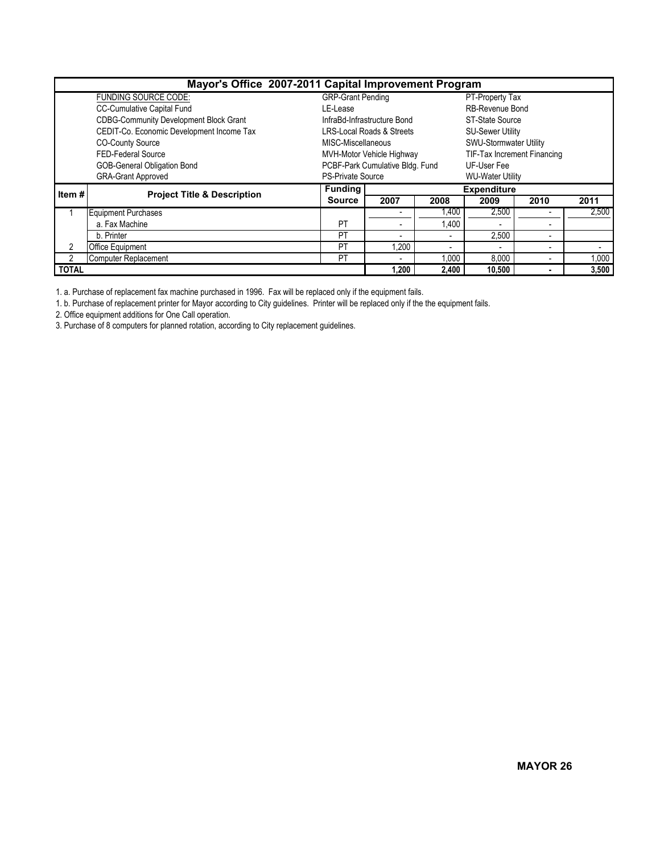| Mayor's Office 2007-2011 Capital Improvement Program |                                               |                          |                                      |        |                               |                          |       |  |  |  |  |
|------------------------------------------------------|-----------------------------------------------|--------------------------|--------------------------------------|--------|-------------------------------|--------------------------|-------|--|--|--|--|
|                                                      | FUNDING SOURCE CODE:                          | <b>GRP-Grant Pending</b> |                                      |        | PT-Property Tax               |                          |       |  |  |  |  |
|                                                      | CC-Cumulative Capital Fund                    | LE-Lease                 |                                      |        | <b>RB-Revenue Bond</b>        |                          |       |  |  |  |  |
|                                                      | <b>CDBG-Community Development Block Grant</b> |                          | InfraBd-Infrastructure Bond          |        | ST-State Source               |                          |       |  |  |  |  |
|                                                      | CEDIT-Co. Economic Development Income Tax     |                          | <b>LRS-Local Roads &amp; Streets</b> |        | <b>SU-Sewer Utility</b>       |                          |       |  |  |  |  |
|                                                      | <b>CO-County Source</b>                       | MISC-Miscellaneous       |                                      |        | <b>SWU-Stormwater Utility</b> |                          |       |  |  |  |  |
|                                                      | FED-Federal Source                            |                          | MVH-Motor Vehicle Highway            |        | TIF-Tax Increment Financing   |                          |       |  |  |  |  |
|                                                      | GOB-General Obligation Bond                   |                          | PCBF-Park Cumulative Bldg. Fund      |        | UF-User Fee                   |                          |       |  |  |  |  |
|                                                      | <b>GRA-Grant Approved</b>                     | <b>PS-Private Source</b> |                                      |        | <b>WU-Water Utility</b>       |                          |       |  |  |  |  |
| Item#                                                | <b>Project Title &amp; Description</b>        | <b>Funding</b>           | <b>Expenditure</b>                   |        |                               |                          |       |  |  |  |  |
|                                                      |                                               | <b>Source</b>            | 2007                                 | 2008   | 2009                          | 2010                     | 2011  |  |  |  |  |
|                                                      | <b>Equipment Purchases</b>                    |                          |                                      | 1,400  | 2,500                         |                          | 2.500 |  |  |  |  |
|                                                      | a. Fax Machine                                | PT                       | ۰                                    | 1,400  |                               | ۰                        |       |  |  |  |  |
|                                                      | b. Printer                                    | PT                       | $\blacksquare$                       |        | 2,500                         | $\blacksquare$           |       |  |  |  |  |
| 2                                                    | <b>Office Equipment</b>                       | PT                       | 1.200                                |        | ۰.                            | $\overline{\phantom{a}}$ |       |  |  |  |  |
| $\mathfrak{p}$                                       | <b>Computer Replacement</b>                   | PT                       | $\blacksquare$                       | 1,000  | 8,000                         |                          | 1,000 |  |  |  |  |
| <b>TOTAL</b>                                         |                                               | 1.200                    | 2,400                                | 10.500 |                               | 3,500                    |       |  |  |  |  |

1. a. Purchase of replacement fax machine purchased in 1996. Fax will be replaced only if the equipment fails.

1. b. Purchase of replacement printer for Mayor according to City guidelines. Printer will be replaced only if the the equipment fails.

2. Office equipment additions for One Call operation.

3. Purchase of 8 computers for planned rotation, according to City replacement guidelines.